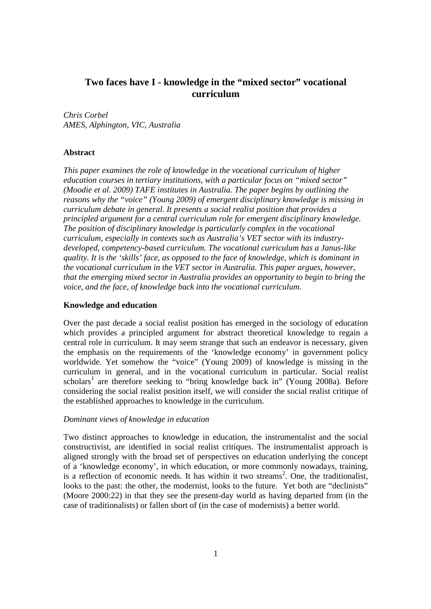# **Two faces have I - knowledge in the "mixed sector" vocational curriculum**

*Chris Corbel AMES, Alphington, VIC, Australia*

# **Abstract**

*This paper examines the role of knowledge in the vocational curriculum of higher education courses in tertiary institutions, with a particular focus on "mixed sector" (Moodie et al. 2009) TAFE institutes in Australia. The paper begins by outlining the reasons why the "voice" (Young 2009) of emergent disciplinary knowledge is missing in curriculum debate in general. It presents a social realist position that provides a principled argument for a central curriculum role for emergent disciplinary knowledge. The position of disciplinary knowledge is particularly complex in the vocational curriculum, especially in contexts such as Australia's VET sector with its industrydeveloped, competency-based curriculum. The vocational curriculum has a Janus-like quality. It is the 'skills' face, as opposed to the face of knowledge, which is dominant in the vocational curriculum in the VET sector in Australia. This paper argues, however, that the emerging mixed sector in Australia provides an opportunity to begin to bring the voice, and the face, of knowledge back into the vocational curriculum.* 

### **Knowledge and education**

Over the past decade a social realist position has emerged in the sociology of education which provides a principled argument for abstract theoretical knowledge to regain a central role in curriculum. It may seem strange that such an endeavor is necessary, given the emphasis on the requirements of the 'knowledge economy' in government policy worldwide. Yet somehow the "voice" (Young 2009) of knowledge is missing in the curriculum in general, and in the vocational curriculum in particular. Social realist scholars<sup>1</sup> are therefore seeking to "bring knowledge back in" (Young 2008a). Before considering the social realist position itself, we will consider the social realist critique of the established approaches to knowledge in the curriculum.

### *Dominant views of knowledge in education*

Two distinct approaches to knowledge in education, the instrumentalist and the social constructivist, are identified in social realist critiques. The instrumentalist approach is aligned strongly with the broad set of perspectives on education underlying the concept of a 'knowledge economy', in which education, or more commonly nowadays, training, is a reflection of economic needs. It has within it two streams<sup>2</sup>. One, the traditionalist, looks to the past: the other, the modernist, looks to the future. Yet both are "declinists" (Moore 2000:22) in that they see the present-day world as having departed from (in the case of traditionalists) or fallen short of (in the case of modernists) a better world.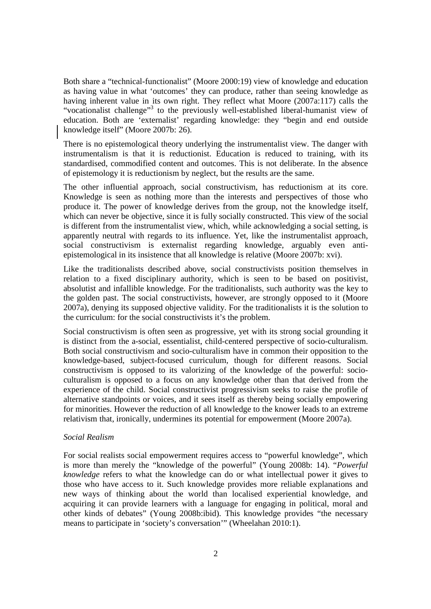Both share a "technical-functionalist" (Moore 2000:19) view of knowledge and education as having value in what 'outcomes' they can produce, rather than seeing knowledge as having inherent value in its own right. They reflect what Moore (2007a:117) calls the "vocationalist challenge"<sup>3</sup> to the previously well-established liberal-humanist view of education. Both are 'externalist' regarding knowledge: they "begin and end outside knowledge itself" (Moore 2007b: 26).

There is no epistemological theory underlying the instrumentalist view. The danger with instrumentalism is that it is reductionist. Education is reduced to training, with its standardised, commodified content and outcomes. This is not deliberate. In the absence of epistemology it is reductionism by neglect, but the results are the same.

The other influential approach, social constructivism, has reductionism at its core. Knowledge is seen as nothing more than the interests and perspectives of those who produce it. The power of knowledge derives from the group, not the knowledge itself, which can never be objective, since it is fully socially constructed. This view of the social is different from the instrumentalist view, which, while acknowledging a social setting, is apparently neutral with regards to its influence. Yet, like the instrumentalist approach, social constructivism is externalist regarding knowledge, arguably even antiepistemological in its insistence that all knowledge is relative (Moore 2007b: xvi).

Like the traditionalists described above, social constructivists position themselves in relation to a fixed disciplinary authority, which is seen to be based on positivist, absolutist and infallible knowledge. For the traditionalists, such authority was the key to the golden past. The social constructivists, however, are strongly opposed to it (Moore 2007a), denying its supposed objective validity. For the traditionalists it is the solution to the curriculum: for the social constructivists it's the problem.

Social constructivism is often seen as progressive, yet with its strong social grounding it is distinct from the a-social, essentialist, child-centered perspective of socio-culturalism. Both social constructivism and socio-culturalism have in common their opposition to the knowledge-based, subject-focused curriculum, though for different reasons. Social constructivism is opposed to its valorizing of the knowledge of the powerful: socioculturalism is opposed to a focus on any knowledge other than that derived from the experience of the child. Social constructivist progressivism seeks to raise the profile of alternative standpoints or voices, and it sees itself as thereby being socially empowering for minorities. However the reduction of all knowledge to the knower leads to an extreme relativism that, ironically, undermines its potential for empowerment (Moore 2007a).

### *Social Realism*

For social realists social empowerment requires access to "powerful knowledge", which is more than merely the "knowledge of the powerful" (Young 2008b: 14). "*Powerful knowledge* refers to what the knowledge can do or what intellectual power it gives to those who have access to it. Such knowledge provides more reliable explanations and new ways of thinking about the world than localised experiential knowledge, and acquiring it can provide learners with a language for engaging in political, moral and other kinds of debates" (Young 2008b:ibid). This knowledge provides "the necessary means to participate in 'society's conversation'" (Wheelahan 2010:1).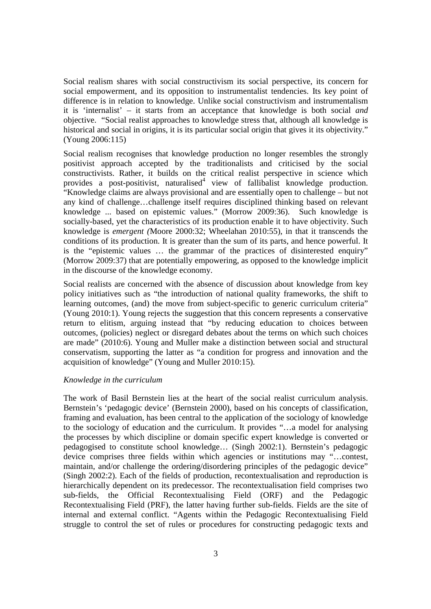Social realism shares with social constructivism its social perspective, its concern for social empowerment, and its opposition to instrumentalist tendencies. Its key point of difference is in relation to knowledge. Unlike social constructivism and instrumentalism it is 'internalist' – it starts from an acceptance that knowledge is both social *and* objective. "Social realist approaches to knowledge stress that, although all knowledge is historical and social in origins, it is its particular social origin that gives it its objectivity." (Young 2006:115)

Social realism recognises that knowledge production no longer resembles the strongly positivist approach accepted by the traditionalists and criticised by the social constructivists. Rather, it builds on the critical realist perspective in science which provides a post-positivist, naturalised<sup>4</sup> view of fallibalist knowledge production. "Knowledge claims are always provisional and are essentially open to challenge – but not any kind of challenge…challenge itself requires disciplined thinking based on relevant knowledge ... based on epistemic values." (Morrow 2009:36). Such knowledge is socially-based, yet the characteristics of its production enable it to have objectivity. Such knowledge is *emergent (*Moore 2000:32; Wheelahan 2010:55), in that it transcends the conditions of its production. It is greater than the sum of its parts, and hence powerful. It is the "epistemic values … the grammar of the practices of disinterested enquiry" (Morrow 2009:37) that are potentially empowering, as opposed to the knowledge implicit in the discourse of the knowledge economy.

Social realists are concerned with the absence of discussion about knowledge from key policy initiatives such as "the introduction of national quality frameworks, the shift to learning outcomes, (and) the move from subject-specific to generic curriculum criteria" (Young 2010:1). Young rejects the suggestion that this concern represents a conservative return to elitism, arguing instead that "by reducing education to choices between outcomes, (policies) neglect or disregard debates about the terms on which such choices are made" (2010:6). Young and Muller make a distinction between social and structural conservatism, supporting the latter as "a condition for progress and innovation and the acquisition of knowledge" (Young and Muller 2010:15).

### *Knowledge in the curriculum*

The work of Basil Bernstein lies at the heart of the social realist curriculum analysis. Bernstein's 'pedagogic device' (Bernstein 2000), based on his concepts of classification, framing and evaluation, has been central to the application of the sociology of knowledge to the sociology of education and the curriculum. It provides "…a model for analysing the processes by which discipline or domain specific expert knowledge is converted or pedagogised to constitute school knowledge… (Singh 2002:1). Bernstein's pedagogic device comprises three fields within which agencies or institutions may "…contest, maintain, and/or challenge the ordering/disordering principles of the pedagogic device" (Singh 2002:2). Each of the fields of production, recontextualisation and reproduction is hierarchically dependent on its predecessor. The recontextualisation field comprises two sub-fields, the Official Recontextualising Field (ORF) and the Pedagogic Recontextualising Field (PRF), the latter having further sub-fields. Fields are the site of internal and external conflict. "Agents within the Pedagogic Recontextualising Field struggle to control the set of rules or procedures for constructing pedagogic texts and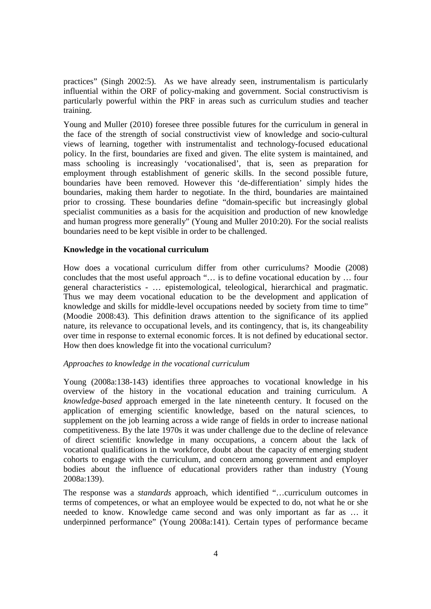practices" (Singh 2002:5). As we have already seen, instrumentalism is particularly influential within the ORF of policy-making and government. Social constructivism is particularly powerful within the PRF in areas such as curriculum studies and teacher training.

Young and Muller (2010) foresee three possible futures for the curriculum in general in the face of the strength of social constructivist view of knowledge and socio-cultural views of learning, together with instrumentalist and technology-focused educational policy. In the first, boundaries are fixed and given. The elite system is maintained, and mass schooling is increasingly 'vocationalised', that is, seen as preparation for employment through establishment of generic skills. In the second possible future, boundaries have been removed. However this 'de-differentiation' simply hides the boundaries, making them harder to negotiate. In the third, boundaries are maintained prior to crossing. These boundaries define "domain-specific but increasingly global specialist communities as a basis for the acquisition and production of new knowledge and human progress more generally" (Young and Muller 2010:20). For the social realists boundaries need to be kept visible in order to be challenged.

#### **Knowledge in the vocational curriculum**

How does a vocational curriculum differ from other curriculums? Moodie (2008) concludes that the most useful approach "… is to define vocational education by … four general characteristics - … epistemological, teleological, hierarchical and pragmatic. Thus we may deem vocational education to be the development and application of knowledge and skills for middle-level occupations needed by society from time to time" (Moodie 2008:43). This definition draws attention to the significance of its applied nature, its relevance to occupational levels, and its contingency, that is, its changeability over time in response to external economic forces. It is not defined by educational sector. How then does knowledge fit into the vocational curriculum?

#### *Approaches to knowledge in the vocational curriculum*

Young (2008a:138-143) identifies three approaches to vocational knowledge in his overview of the history in the vocational education and training curriculum. A *knowledge-based* approach emerged in the late nineteenth century. It focused on the application of emerging scientific knowledge, based on the natural sciences, to supplement on the job learning across a wide range of fields in order to increase national competitiveness. By the late 1970s it was under challenge due to the decline of relevance of direct scientific knowledge in many occupations, a concern about the lack of vocational qualifications in the workforce, doubt about the capacity of emerging student cohorts to engage with the curriculum, and concern among government and employer bodies about the influence of educational providers rather than industry (Young 2008a:139).

The response was a *standards* approach, which identified "…curriculum outcomes in terms of competences, or what an employee would be expected to do, not what he or she needed to know. Knowledge came second and was only important as far as … it underpinned performance" (Young 2008a:141). Certain types of performance became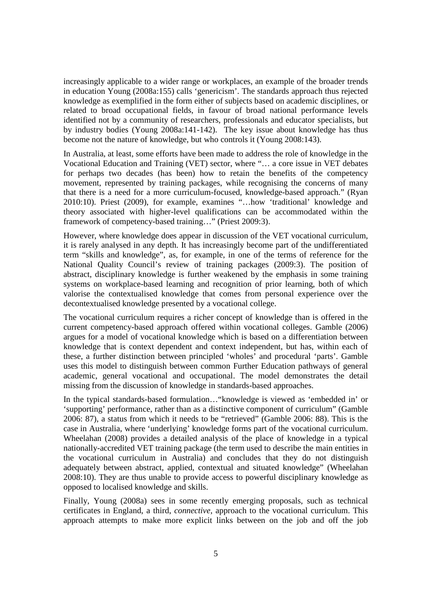increasingly applicable to a wider range or workplaces, an example of the broader trends in education Young (2008a:155) calls 'genericism'. The standards approach thus rejected knowledge as exemplified in the form either of subjects based on academic disciplines, or related to broad occupational fields, in favour of broad national performance levels identified not by a community of researchers, professionals and educator specialists, but by industry bodies (Young 2008a:141-142). The key issue about knowledge has thus become not the nature of knowledge, but who controls it (Young 2008:143).

In Australia, at least, some efforts have been made to address the role of knowledge in the Vocational Education and Training (VET) sector, where "… a core issue in VET debates for perhaps two decades (has been) how to retain the benefits of the competency movement, represented by training packages, while recognising the concerns of many that there is a need for a more curriculum-focused, knowledge-based approach." (Ryan 2010:10). Priest (2009), for example, examines "…how 'traditional' knowledge and theory associated with higher-level qualifications can be accommodated within the framework of competency-based training…" (Priest 2009:3).

However, where knowledge does appear in discussion of the VET vocational curriculum, it is rarely analysed in any depth. It has increasingly become part of the undifferentiated term "skills and knowledge", as, for example, in one of the terms of reference for the National Quality Council's review of training packages (2009:3). The position of abstract, disciplinary knowledge is further weakened by the emphasis in some training systems on workplace-based learning and recognition of prior learning, both of which valorise the contextualised knowledge that comes from personal experience over the decontextualised knowledge presented by a vocational college.

The vocational curriculum requires a richer concept of knowledge than is offered in the current competency-based approach offered within vocational colleges. Gamble (2006) argues for a model of vocational knowledge which is based on a differentiation between knowledge that is context dependent and context independent, but has, within each of these, a further distinction between principled 'wholes' and procedural 'parts'. Gamble uses this model to distinguish between common Further Education pathways of general academic, general vocational and occupational. The model demonstrates the detail missing from the discussion of knowledge in standards-based approaches.

In the typical standards-based formulation…"knowledge is viewed as 'embedded in' or 'supporting' performance, rather than as a distinctive component of curriculum" (Gamble 2006: 87), a status from which it needs to be "retrieved" (Gamble 2006: 88). This is the case in Australia, where 'underlying' knowledge forms part of the vocational curriculum. Wheelahan (2008) provides a detailed analysis of the place of knowledge in a typical nationally-accredited VET training package (the term used to describe the main entities in the vocational curriculum in Australia) and concludes that they do not distinguish adequately between abstract, applied, contextual and situated knowledge" (Wheelahan 2008:10). They are thus unable to provide access to powerful disciplinary knowledge as opposed to localised knowledge and skills.

Finally, Young (2008a) sees in some recently emerging proposals, such as technical certificates in England, a third, *connective,* approach to the vocational curriculum. This approach attempts to make more explicit links between on the job and off the job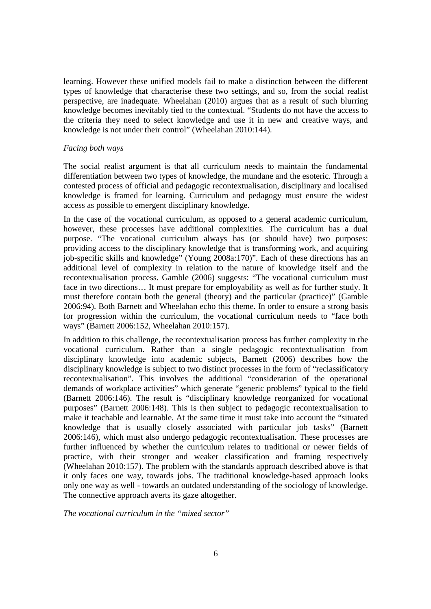learning. However these unified models fail to make a distinction between the different types of knowledge that characterise these two settings, and so, from the social realist perspective, are inadequate. Wheelahan (2010) argues that as a result of such blurring knowledge becomes inevitably tied to the contextual. "Students do not have the access to the criteria they need to select knowledge and use it in new and creative ways, and knowledge is not under their control" (Wheelahan 2010:144).

## *Facing both ways*

The social realist argument is that all curriculum needs to maintain the fundamental differentiation between two types of knowledge, the mundane and the esoteric. Through a contested process of official and pedagogic recontextualisation, disciplinary and localised knowledge is framed for learning. Curriculum and pedagogy must ensure the widest access as possible to emergent disciplinary knowledge.

In the case of the vocational curriculum, as opposed to a general academic curriculum, however, these processes have additional complexities. The curriculum has a dual purpose. "The vocational curriculum always has (or should have) two purposes: providing access to the disciplinary knowledge that is transforming work, and acquiring job-specific skills and knowledge" (Young 2008a:170)". Each of these directions has an additional level of complexity in relation to the nature of knowledge itself and the recontextualisation process. Gamble (2006) suggests: "The vocational curriculum must face in two directions… It must prepare for employability as well as for further study. It must therefore contain both the general (theory) and the particular (practice)" (Gamble 2006:94). Both Barnett and Wheelahan echo this theme. In order to ensure a strong basis for progression within the curriculum, the vocational curriculum needs to "face both ways" (Barnett 2006:152, Wheelahan 2010:157).

In addition to this challenge, the recontextualisation process has further complexity in the vocational curriculum. Rather than a single pedagogic recontextualisation from disciplinary knowledge into academic subjects, Barnett (2006) describes how the disciplinary knowledge is subject to two distinct processes in the form of "reclassificatory recontextualisation". This involves the additional "consideration of the operational demands of workplace activities" which generate "generic problems" typical to the field (Barnett 2006:146). The result is "disciplinary knowledge reorganized for vocational purposes" (Barnett 2006:148). This is then subject to pedagogic recontextualisation to make it teachable and learnable. At the same time it must take into account the "situated knowledge that is usually closely associated with particular job tasks" (Barnett 2006:146), which must also undergo pedagogic recontextualisation. These processes are further influenced by whether the curriculum relates to traditional or newer fields of practice, with their stronger and weaker classification and framing respectively (Wheelahan 2010:157). The problem with the standards approach described above is that it only faces one way, towards jobs. The traditional knowledge-based approach looks only one way as well - towards an outdated understanding of the sociology of knowledge. The connective approach averts its gaze altogether.

*The vocational curriculum in the "mixed sector"*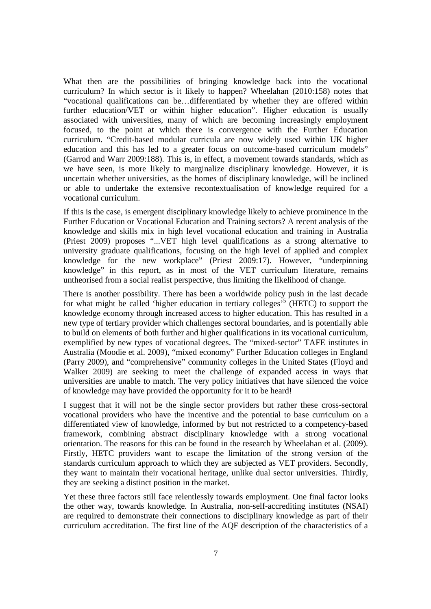What then are the possibilities of bringing knowledge back into the vocational curriculum? In which sector is it likely to happen? Wheelahan (2010:158) notes that "vocational qualifications can be…differentiated by whether they are offered within further education/VET or within higher education". Higher education is usually associated with universities, many of which are becoming increasingly employment focused, to the point at which there is convergence with the Further Education curriculum. "Credit-based modular curricula are now widely used within UK higher education and this has led to a greater focus on outcome-based curriculum models" (Garrod and Warr 2009:188). This is, in effect, a movement towards standards, which as we have seen, is more likely to marginalize disciplinary knowledge. However, it is uncertain whether universities, as the homes of disciplinary knowledge, will be inclined or able to undertake the extensive recontextualisation of knowledge required for a vocational curriculum.

If this is the case, is emergent disciplinary knowledge likely to achieve prominence in the Further Education or Vocational Education and Training sectors? A recent analysis of the knowledge and skills mix in high level vocational education and training in Australia (Priest 2009) proposes "...VET high level qualifications as a strong alternative to university graduate qualifications, focusing on the high level of applied and complex knowledge for the new workplace" (Priest 2009:17). However, "underpinning knowledge" in this report, as in most of the VET curriculum literature, remains untheorised from a social realist perspective, thus limiting the likelihood of change.

There is another possibility. There has been a worldwide policy push in the last decade for what might be called 'higher education in tertiary colleges'<sup>5</sup> (HETC) to support the knowledge economy through increased access to higher education. This has resulted in a new type of tertiary provider which challenges sectoral boundaries, and is potentially able to build on elements of both further and higher qualifications in its vocational curriculum, exemplified by new types of vocational degrees. The "mixed-sector" TAFE institutes in Australia (Moodie et al. 2009), "mixed economy" Further Education colleges in England (Parry 2009), and "comprehensive" community colleges in the United States (Floyd and Walker 2009) are seeking to meet the challenge of expanded access in ways that universities are unable to match. The very policy initiatives that have silenced the voice of knowledge may have provided the opportunity for it to be heard!

I suggest that it will not be the single sector providers but rather these cross*-*sectoral vocational providers who have the incentive and the potential to base curriculum on a differentiated view of knowledge, informed by but not restricted to a competency-based framework, combining abstract disciplinary knowledge with a strong vocational orientation. The reasons for this can be found in the research by Wheelahan et al. (2009). Firstly, HETC providers want to escape the limitation of the strong version of the standards curriculum approach to which they are subjected as VET providers. Secondly, they want to maintain their vocational heritage, unlike dual sector universities*.* Thirdly, they are seeking a distinct position in the market.

Yet these three factors still face relentlessly towards employment. One final factor looks the other way, towards knowledge. In Australia, non-self-accrediting institutes (NSAI) are required to demonstrate their connections to disciplinary knowledge as part of their curriculum accreditation. The first line of the AQF description of the characteristics of a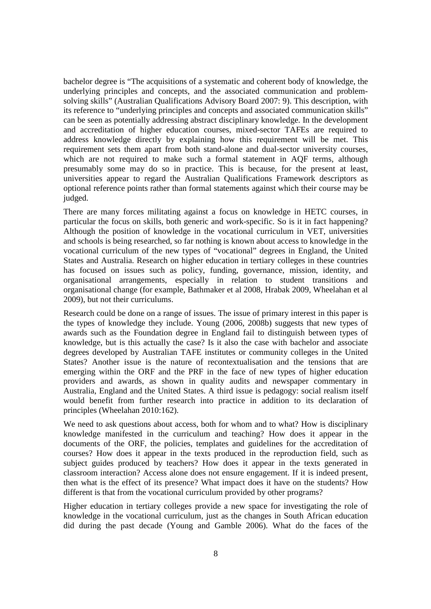bachelor degree is "The acquisitions of a systematic and coherent body of knowledge, the underlying principles and concepts, and the associated communication and problemsolving skills" (Australian Qualifications Advisory Board 2007: 9). This description, with its reference to "underlying principles and concepts and associated communication skills" can be seen as potentially addressing abstract disciplinary knowledge. In the development and accreditation of higher education courses, mixed-sector TAFEs are required to address knowledge directly by explaining how this requirement will be met. This requirement sets them apart from both stand-alone and dual-sector university courses, which are not required to make such a formal statement in AQF terms, although presumably some may do so in practice. This is because, for the present at least, universities appear to regard the Australian Qualifications Framework descriptors as optional reference points rather than formal statements against which their course may be judged.

There are many forces militating against a focus on knowledge in HETC courses, in particular the focus on skills, both generic and work-specific. So is it in fact happening? Although the position of knowledge in the vocational curriculum in VET, universities and schools is being researched, so far nothing is known about access to knowledge in the vocational curriculum of the new types of "vocational" degrees in England, the United States and Australia. Research on higher education in tertiary colleges in these countries has focused on issues such as policy, funding, governance, mission, identity, and organisational arrangements, especially in relation to student transitions and organisational change (for example, Bathmaker et al 2008, Hrabak 2009, Wheelahan et al 2009), but not their curriculums.

Research could be done on a range of issues. The issue of primary interest in this paper is the types of knowledge they include. Young (2006, 2008b) suggests that new types of awards such as the Foundation degree in England fail to distinguish between types of knowledge, but is this actually the case? Is it also the case with bachelor and associate degrees developed by Australian TAFE institutes or community colleges in the United States? Another issue is the nature of recontextualisation and the tensions that are emerging within the ORF and the PRF in the face of new types of higher education providers and awards, as shown in quality audits and newspaper commentary in Australia, England and the United States. A third issue is pedagogy: social realism itself would benefit from further research into practice in addition to its declaration of principles (Wheelahan 2010:162).

We need to ask questions about access, both for whom and to what? How is disciplinary knowledge manifested in the curriculum and teaching? How does it appear in the documents of the ORF, the policies, templates and guidelines for the accreditation of courses? How does it appear in the texts produced in the reproduction field, such as subject guides produced by teachers? How does it appear in the texts generated in classroom interaction? Access alone does not ensure engagement. If it is indeed present, then what is the effect of its presence? What impact does it have on the students? How different is that from the vocational curriculum provided by other programs?

Higher education in tertiary colleges provide a new space for investigating the role of knowledge in the vocational curriculum, just as the changes in South African education did during the past decade (Young and Gamble 2006). What do the faces of the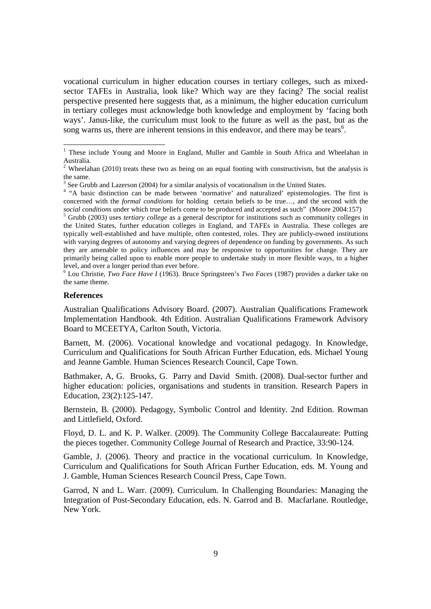vocational curriculum in higher education courses in tertiary colleges, such as mixedsector TAFEs in Australia, look like? Which way are they facing? The social realist perspective presented here suggests that, as a minimum, the higher education curriculum in tertiary colleges must acknowledge both knowledge and employment by 'facing both ways'. Janus-like, the curriculum must look to the future as well as the past, but as the song warns us, there are inherent tensions in this endeavor, and there may be tears<sup>6</sup>.

6 Lou Christie, *Two Face Have I* (1963). Bruce Springsteen's *Two Faces* (1987) provides a darker take on the same theme.

#### **References**

Australian Qualifications Advisory Board. (2007). Australian Qualifications Framework Implementation Handbook. 4th Edition. Australian Qualifications Framework Advisory Board to MCEETYA, Carlton South, Victoria.

Barnett, M. (2006). Vocational knowledge and vocational pedagogy. In Knowledge, Curriculum and Qualifications for South African Further Education, eds. Michael Young and Jeanne Gamble. Human Sciences Research Council, Cape Town.

Bathmaker, A, G. Brooks, G. Parry and David Smith. (2008). Dual-sector further and higher education: policies, organisations and students in transition. Research Papers in Education, 23(2):125-147.

Bernstein, B. (2000). Pedagogy, Symbolic Control and Identity. 2nd Edition. Rowman and Littlefield, Oxford.

Floyd, D. L. and K. P. Walker. (2009). The Community College Baccalaureate: Putting the pieces together. Community College Journal of Research and Practice, 33:90-124.

Gamble, J. (2006). Theory and practice in the vocational curriculum. In Knowledge, Curriculum and Qualifications for South African Further Education, eds. M. Young and J. Gamble, Human Sciences Research Council Press, Cape Town.

Garrod, N and L. Warr. (2009). Curriculum. In Challenging Boundaries: Managing the Integration of Post-Secondary Education, eds. N. Garrod and B. Macfarlane. Routledge, New York.

These include Young and Moore in England, Muller and Gamble in South Africa and Wheelahan in Australia.<br><sup>2</sup> Wheelahan (2010) treats these two as being on an equal footing with constructivism, but the analysis is

the same.

 $3$  See Grubb and Lazerson (2004) for a similar analysis of vocationalism in the United States.

<sup>&</sup>lt;sup>4</sup> "A basic distinction can be made between 'normative' and naturalized' epistemologies. The first is concerned with the *formal conditions* for holding certain beliefs to be true…, and the second with the *social conditions* under which true beliefs come to be produced and accepted as such" (Moore 2004:157)

<sup>5</sup> Grubb (2003) uses *tertiary college* as a general descriptor for institutions such as community colleges in the United States, further education colleges in England, and TAFEs in Australia. These colleges are typically well-established and have multiple, often contested, roles. They are publicly-owned institutions with varying degrees of autonomy and varying degrees of dependence on funding by governments. As such they are amenable to policy influences and may be responsive to opportunities for change. They are primarily being called upon to enable more people to undertake study in more flexible ways, to a higher level, and over a longer period than ever before.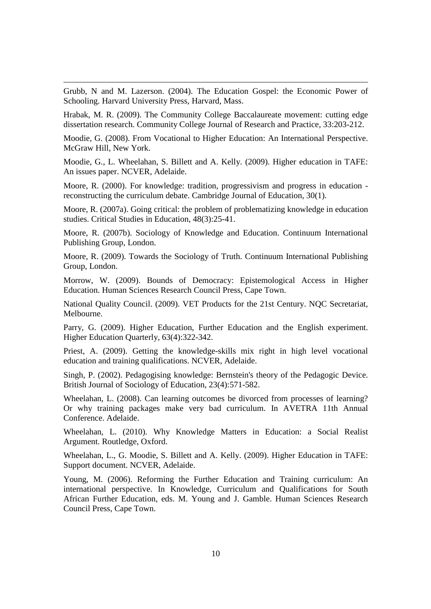Grubb, N and M. Lazerson. (2004). The Education Gospel: the Economic Power of Schooling. Harvard University Press, Harvard, Mass.

 $\overline{a}$ 

Hrabak, M. R. (2009). The Community College Baccalaureate movement: cutting edge dissertation research. Community College Journal of Research and Practice, 33:203-212.

Moodie, G. (2008). From Vocational to Higher Education: An International Perspective. McGraw Hill, New York.

Moodie, G., L. Wheelahan, S. Billett and A. Kelly. (2009). Higher education in TAFE: An issues paper. NCVER, Adelaide.

Moore, R. (2000). For knowledge: tradition, progressivism and progress in education reconstructing the curriculum debate. Cambridge Journal of Education, 30(1).

Moore, R. (2007a). Going critical: the problem of problematizing knowledge in education studies. Critical Studies in Education, 48(3):25-41.

Moore, R. (2007b). Sociology of Knowledge and Education. Continuum International Publishing Group, London.

Moore, R. (2009). Towards the Sociology of Truth. Continuum International Publishing Group, London.

Morrow, W. (2009). Bounds of Democracy: Epistemological Access in Higher Education. Human Sciences Research Council Press, Cape Town.

National Quality Council. (2009). VET Products for the 21st Century. NQC Secretariat, Melbourne.

Parry, G. (2009). Higher Education, Further Education and the English experiment. Higher Education Quarterly, 63(4):322-342.

Priest, A. (2009). Getting the knowledge-skills mix right in high level vocational education and training qualifications. NCVER, Adelaide.

Singh, P. (2002). Pedagogising knowledge: Bernstein's theory of the Pedagogic Device. British Journal of Sociology of Education, 23(4):571-582.

Wheelahan, L. (2008). Can learning outcomes be divorced from processes of learning? Or why training packages make very bad curriculum. In AVETRA 11th Annual Conference. Adelaide.

Wheelahan, L. (2010). Why Knowledge Matters in Education: a Social Realist Argument. Routledge, Oxford.

Wheelahan, L., G. Moodie, S. Billett and A. Kelly. (2009). Higher Education in TAFE: Support document. NCVER, Adelaide.

Young, M. (2006). Reforming the Further Education and Training curriculum: An international perspective. In Knowledge, Curriculum and Qualifications for South African Further Education, eds. M. Young and J. Gamble. Human Sciences Research Council Press, Cape Town.